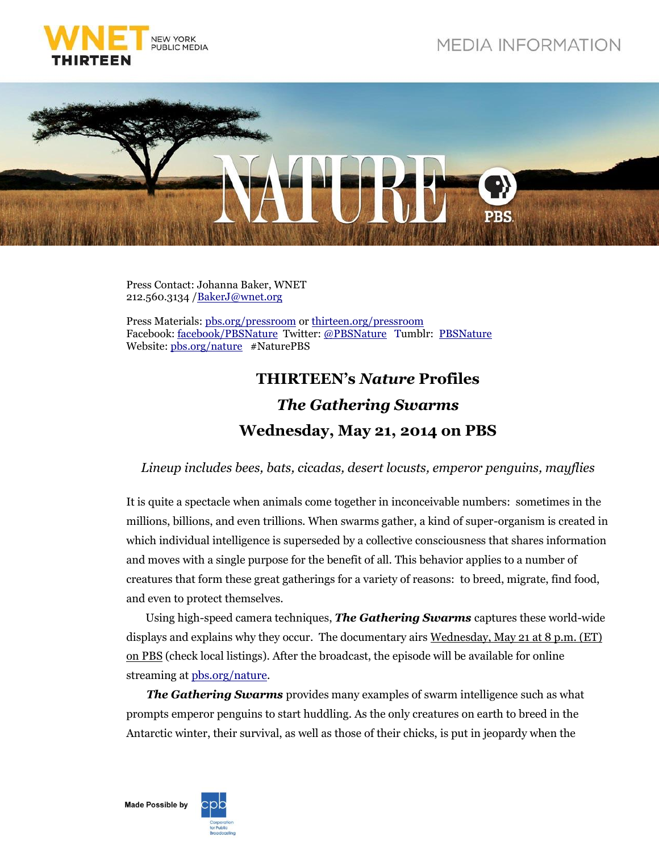



Press Contact: Johanna Baker, WNET 212.560.3134 [/BakerJ@wnet.org](mailto:BakerJ@wnet.org)

Press Materials: [pbs.org/pressroom](http://pressroom.pbs.org/) o[r thirteen.org/pressroom](http://www.thirteen.org/pressroom) Facebook: [facebook/PBSNature](http://www.facebook.com/PBSNature) Twitter: [@PBSNature](file://thirteen.org/departments/Communications/Commgrp/leed/Local%20Settings/Temporary%20Internet%20Files/leed/Local%20Settings/Documents%20and%20Settings/Murphy/Local%20Settings/Revealing%20the%20Leopard/Press%20Release/twitter.com/pbsnature) Tumblr: [PBSNature](http://pbsnature.tumblr.com/) Website[: pbs.org/nature](http://www.pbs.org/nature) #NaturePBS

## **THIRTEEN's** *Nature* **Profiles** *The Gathering Swarms* **Wednesday, May 21, 2014 on PBS**

*Lineup includes bees, bats, cicadas, desert locusts, emperor penguins, mayflies*

It is quite a spectacle when animals come together in inconceivable numbers: sometimes in the millions, billions, and even trillions. When swarms gather, a kind of super-organism is created in which individual intelligence is superseded by a collective consciousness that shares information and moves with a single purpose for the benefit of all. This behavior applies to a number of creatures that form these great gatherings for a variety of reasons: to breed, migrate, find food, and even to protect themselves.

Using high-speed camera techniques, *The Gathering Swarms* captures these world-wide displays and explains why they occur. The documentary airs Wednesday, May 21 at 8 p.m. (ET) on PBS (check local listings). After the broadcast, the episode will be available for online streaming at [pbs.org/nature.](http://www.pbs.org/wnet/nature/)

*The Gathering Swarms* provides many examples of swarm intelligence such as what prompts emperor penguins to start huddling. As the only creatures on earth to breed in the Antarctic winter, their survival, as well as those of their chicks, is put in jeopardy when the

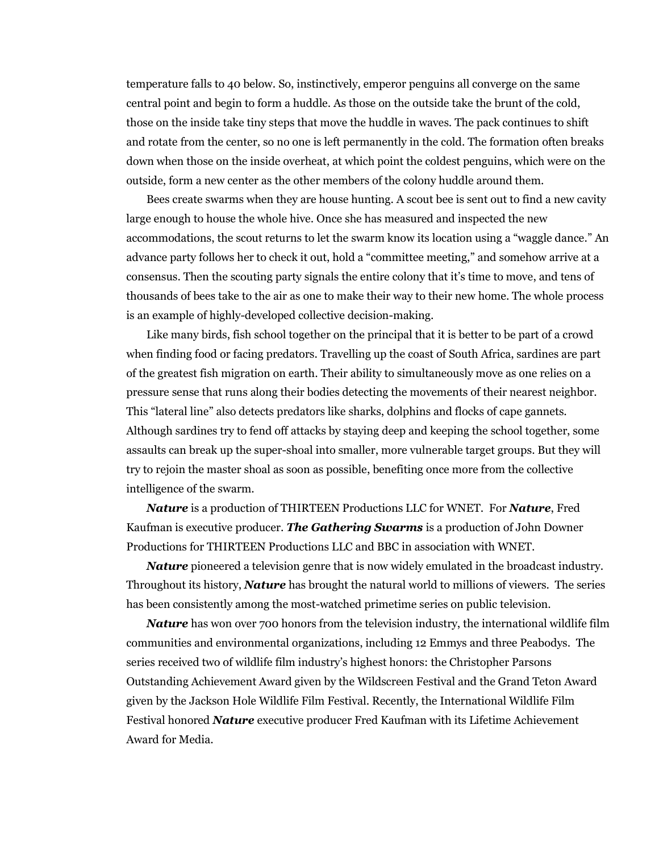temperature falls to 40 below. So, instinctively, emperor penguins all converge on the same central point and begin to form a huddle. As those on the outside take the brunt of the cold, those on the inside take tiny steps that move the huddle in waves. The pack continues to shift and rotate from the center, so no one is left permanently in the cold. The formation often breaks down when those on the inside overheat, at which point the coldest penguins, which were on the outside, form a new center as the other members of the colony huddle around them.

Bees create swarms when they are house hunting. A scout bee is sent out to find a new cavity large enough to house the whole hive. Once she has measured and inspected the new accommodations, the scout returns to let the swarm know its location using a "waggle dance." An advance party follows her to check it out, hold a "committee meeting," and somehow arrive at a consensus. Then the scouting party signals the entire colony that it's time to move, and tens of thousands of bees take to the air as one to make their way to their new home. The whole process is an example of highly-developed collective decision-making.

Like many birds, fish school together on the principal that it is better to be part of a crowd when finding food or facing predators. Travelling up the coast of South Africa, sardines are part of the greatest fish migration on earth. Their ability to simultaneously move as one relies on a pressure sense that runs along their bodies detecting the movements of their nearest neighbor. This "lateral line" also detects predators like sharks, dolphins and flocks of cape gannets. Although sardines try to fend off attacks by staying deep and keeping the school together, some assaults can break up the super-shoal into smaller, more vulnerable target groups. But they will try to rejoin the master shoal as soon as possible, benefiting once more from the collective intelligence of the swarm.

*Nature* is a production of THIRTEEN Productions LLC for WNET. For *Nature*, Fred Kaufman is executive producer. *The Gathering Swarms* is a production of John Downer Productions for THIRTEEN Productions LLC and BBC in association with WNET.

*Nature* pioneered a television genre that is now widely emulated in the broadcast industry. Throughout its history, *Nature* has brought the natural world to millions of viewers. The series has been consistently among the most-watched primetime series on public television.

*Nature* has won over 700 honors from the television industry, the international wildlife film communities and environmental organizations, including 12 Emmys and three Peabodys. The series received two of wildlife film industry's highest honors: the Christopher Parsons Outstanding Achievement Award given by the Wildscreen Festival and the Grand Teton Award given by the Jackson Hole Wildlife Film Festival. Recently, the International Wildlife Film Festival honored *Nature* executive producer Fred Kaufman with its Lifetime Achievement Award for Media.